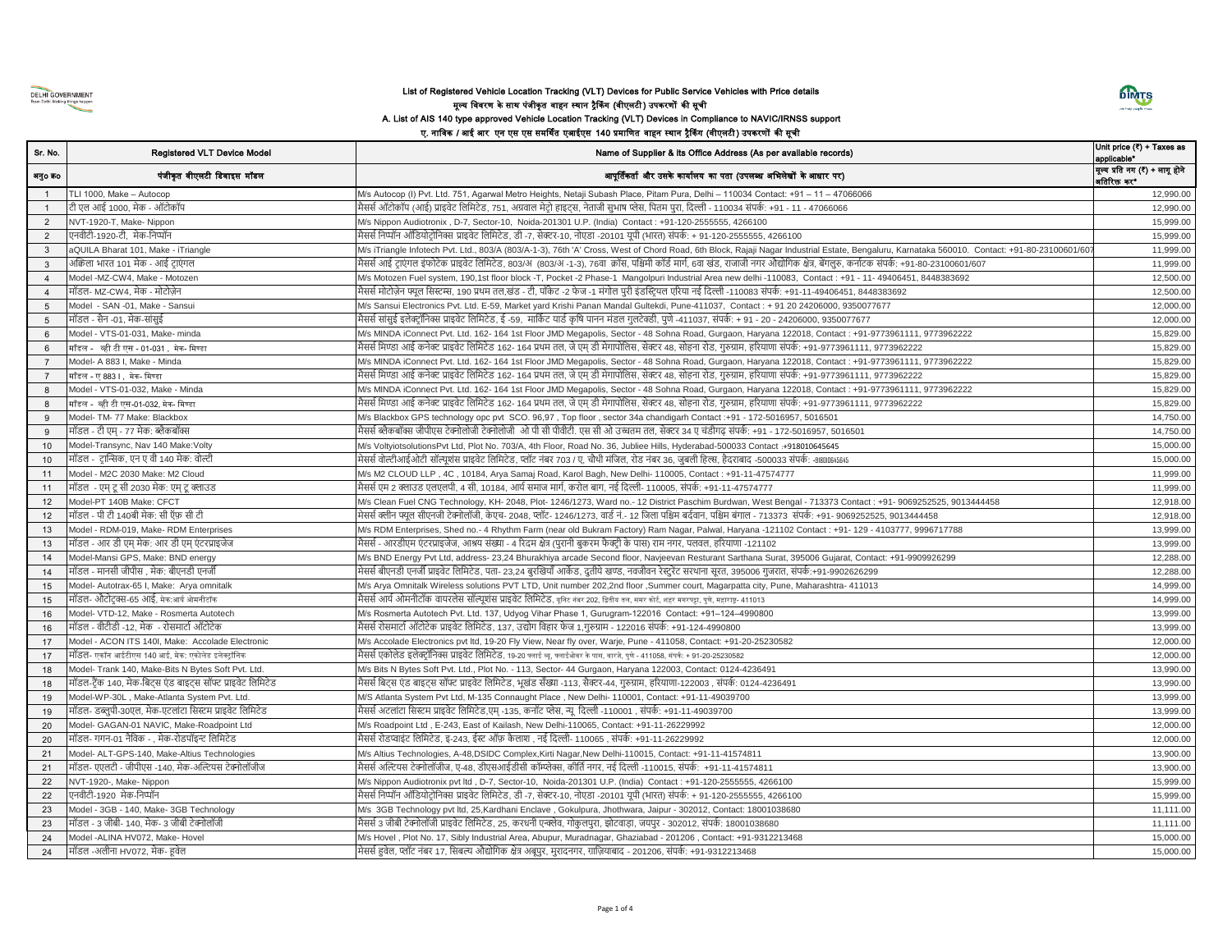

## List of Registered Vehicle Location Tracking (VLT) Devices for Public Service Vehicles with Price details मूल्र् डववरण के साथ पंजीकृत वाहन स्थान रैककंग (वीएलटी) उपकरणों की सूची A. List of AIS 140 type approved Vehicle Location Tracking (VLT) Devices in Compliance to NAVIC/IRNSS support ए. नाविक / आई आर एन एस एस समर्थित एआईएस 140 प्रमाणित वाहन स्थान ट्रैकिंग (वीएलटी) उपकरणों की सूची



## Sr. No. Registered VLT Device Model **Name of Supplier & its Office Address (As per available records)** Unit price (₹) + Taxes as applicable\* अनुo कo बिकास करने कर पंजीकृत वीएलटी डिवाइस मॉडल अस्पता अस्ति जिल्लाको अस्ति अस्ति अस्ति अस्ति अस्ति अस्ति अस् मूल्र् प्रडत नग (**₹**) + लागू होने **बतिरिक्त कर**\* 1 TLI 1000, Make – Autocop M/s Autocop (I) Pvt. Ltd. 751, Agarwal Metro Heights, Netaji Subash Place, Pitam Pura, Delhi – 110034 Contact: +91 – 11 – 47066066 12,990.00 1 टी एल आई 1000, मेक - ऑटोकॉप विकास में स्पर्श कर किला कर किला करने हाइट्स, नेताजी सुभाष प्लेस, पितम पुरा, दिल्ली - 110034 संपर्क: +91 - 11 - 47066066 12,990.000 12,990.00 2 NVT-1920-T, Make- Nippon **Myshippon Audiotronix , D-7, Sector-10, Noida-201301 U.P.** (India) Contact : +91-120-2555555, 4266100 15,999.00 15,999.00 2 एनवीटी-1920-टी, मेक-लनप्पॉन मैसससलनप्पॉन ऑलडयोटरोलनक्स प्राइवेट लललमटेड, डी -7, सेक्टर-10, नोएडा -20101 यूपी (भारत) संपकस: + 91-120-2555555, 4266100 15,999.00 3 a QUILA Bharat 101, Make - iTriangle 606101/607 Mys iTriangle Infotech Pvt. Ltd., 803/A (803/A-1-3), 76th 'A' Cross, West of Chord Road, 6th Block, Rajaji Nagar Industrial Estate, Bengaluru, Karnataka 560010. Contact: +9 3 अकिला भारत 101 मेक - आई टाएंगल साफ साफ मैससी आई टाएंगल इंफोटेक प्राइवेट लिमिटेड, 803/अ (803/अ -1-3), 76वा क्रॉस, पश्चिमी कॉर्ड मर्गा, 6वा खंड, राजाजी नगर औद्योगिक क्षेत्र, बेंगलुरु, कर्नाटक संपर्क: +91-80-23100601/607 11 Model -MZ-CW4, Make - Motozen 2000 12,500.00 M/s Motozen Fuel system, 190,1st floor block -T, Pocket -2 Phase-1 Mangolpuri Industrial Area new delhi -110083, Contact : +91 - 11- 49406451, 8448383692 12,500.00 12,500.00 4 मॉडल- MZ-CW4, मेक - मोटोजेन स्टर स्टेड स्ट्रेलिया का सिस्टम्स, 190 प्रथम तल,खंड - टी, पॉकेट -2 फेज -1 मंगोल परी इंडस्टियल एरिया नई दिल्ली -110083 संपर्क: +91-11-49406451, 8448383692 12,500.00 12,500.00 12,500.00 5 Model - SAN -01, Make - Sansui November 2000.00 M/s Sansui Electronics Pvt. Ltd. E-59, Market vard Krishi Panan Mandal Gultekdi, Pune-411037, Contact : + 91 20 24206000, 9350077677 12000.00 9350077677 12,000.00 5 मॉडल - सैन -01, मेक-सांसुई स्वार्ड किल्टरॉलिक्स प्राइवेट लिमिटेड, ई -59, मार्किट यार्ड कृषि पानन मंडल गुलटेक्डी, पुणे -411037, संपर्क: + 91 - 20 - 24206000, 9350077677 12,000.00 - 212,000.00 12,000.00 6 Model - VTS-01-031, Make- minda matching and M/s MINDA iConnect Pvt. Ltd. 162- 164 1st Floor JMD Megapolis, Sector - 48 Sohna Road, Gurgaon, Haryana 122018, Contact : +91-9773961111, 9773962222 164 15,829.00 6 मॉडल - व्ही टी एस - 01-031 , मेक- मिण्डा अस्मा संपक्षा आई कनेक्ट प्राइवेट लिमिटेड 162- 164 प्रथम तल, जे एम्डी मेगापोलिस, सेक्टर 48, सोहना रोड, गुरुग्राम, हरियाणा संपर्क: +91-9773961111, 9773962222 15,829.00 15,829.00 7 Model- A 883 I, Make - Minda 2011 M/s MINDA iConnect Pvt. Ltd. 162- 164 1st Floor JMD Megapolis, Sector - 48 Sohna Road, Gurgaon, Haryana 122018, Contact : +91-9773961111, 9773962222 15,829.00 7 मॉडल - ए 883 I , मेक- मिण्डा अहमा संपक्षा आई कनेक्ट प्राइवेट लिमिटेड 162- 164 प्रथम तल, जे एम् डी मेगापोलिस, सेक्टर 48, सोहना रोड, गुरुग्राम, हरियाणा संपर्क: +91-9773961111, 9773962222 15,829.00 15,829.00 8 Model - VTS-01-032, Make - Minda 1999 M/s MINDA iConnect Pvt. Ltd. 162- 164 1st Floor JMD Megapolis, Sector - 48 Sohna Road, Gurgaon, Haryana 122018, Contact : +91-9773961111, 9773962222 164 15,829.00 8 मॉडल - व्ही टी एस-01-032, मेक- मण्डा आइला संपादिक अर्था मैससी मिण्डा आई कनेक्ट प्राइवेट लिमिटेड 162- 164 प्रथम तल, जे एम्डी मेगापोलिस, सेक्टर 48, सोहना रोड, गुरुग्राम, हरियाणा संपर्क: +91-9773961111, 9773962222 15,829.00 9 Model- TM- 77 Make: Blackbox metals and Myster Matched Missile and Myster operations of the Missile and Myster and Missile and Missile and Missile and Missile and Missile and Missile and Missile and Missile and Missile a 9 मॉडल - टी एम - 77 मेक: ब्लैकबॉक्स साफ संपक्षक समित बैकबॉक्स जीपीएस टेक्नोलोजी ओ पी सी पीवीटी. एस सी ओ उच्चतम तल, सेक्टर 34 ए चंडीगढ संपर्क: +91 - 172-5016957, 5016501 14,750.00 | 14,750.00 10 Model-Transync, Nav 140 Make:Volty Macket: Model Mys VoltyiotsolutionsPvt Ltd, Plot No. 703/A, 4th Floor, Road No. 36, Jubliee Hills, Hyderabad-500033 Contact :+918010645645 15,000.00 10 मॉडल - ट्रान्सिक, एन ए वी 140 मेक: वोल्टी व्या सिंस का सिंस बोल्टीआईओटी सॉल्यूशंस प्राइवेट लिमिटेड, प्लॉट नंबर 703 / ए, चौथी मंजिल, रोड नंबर 36, जुबली हिल्स, हैदराबाद -500033 संपर्क: -9180184646 11 Model - M2C 2030 Make: M2 Cloud 11,999.00 M/s M2 CLOUD LLP , 4C , 10184, Arya Samaj Road, Karol Bagh, New Delhi- 110005, Contact : +91-11-47574777 11 10005 11 मॉडल - एम्टूसी 2030 मेक: एम्टू क्लाउड संस्था संस्कृत सा का निकाल करने करने करोल बाग, नई दिल्ली- 110005, संपर्क: +91-11-47574777 संस्कृत का संस्कृत का संस्कृत का संस्कृत का संस्कृत का संस्कृत का संस्कृत का संस्कृत का संस 12 Model-PT 140B Make: CFCT M/s Clean Fuel CNG Technology, KH- 2048, Plot- 1246/1273, Ward no.- 12 District Paschim Burdwan, West Bengal - 713373 Contact : +91- 9069252525, 9013444458 12,918.00 12 मॉडल - पी टी 140बी मेक: सी ऍफ़ सी टी सिस कर साफ से मेसस क्लीन फ्यूल सीएनजी टेक्नोलॉजी, केएच- 2048, प्लॉट- 1246/1273, वार्ड नं.- 12 जिला पश्चिम बर्दवान, पश्चिम बर्दावन, पश्चिम बर्दावन, पश्चिम बर्दावन, पश्चिम बर्दावन, पश् 13 Model - RDM-019, Make- RDM Enterprises M/s RDM Enterprises, Shed no.- 4 Rhythm Farm (near old Bukram Factory) Ram Nagar, Palwal, Haryana -121102 Contact : +91- 129 - 4103777, 9996717788 13,999.00 13 मॉडल - आर डी एम् मेक: आर डी एम् एंटरप्राइजेज संस्था - भीसस - आरडीएम एंटरप्राइजेज, आश्रय संख्या - 4 रिदम क्षेत्र (पुरानी बुकरम फैक्ट्री के पास) राम नगर, पलवल, हरियाणा -121102 13,999.00 13,999.00 13,999.00 13,999.00 14 Model-Mansi GPS, Make: BND energy Machines Music Miss BND Energy Pvt Ltd, address- 23,24 Bhurakhiya arcade Second floor, Navjeevan Resturant Sarthana Surat, 395006 Gujarat, Contact: +91-9909926299 12,288.00 14 मॉडल - मानसी जीपीस , मेक: बीएनडी एनजी सर्जा का स्थान कर कर किसिटेड, पता- 23,24 बुरखियाँ आर्केड, दुतीये खण्ड, नवजीवन रेस्टुरेंट सरथाना सूरत, 395006 गुजरात, संपर्क:+91-9902626299 12,288.00 कि. 27,288.00 12,288.00 12,288.0 15 Model- Autotrax-65 I, Make: Arya omnitalk metalah Mys Arya Omnitalk Wireless solutions PVT LTD, Unit number 202,2nd floor ,Summer court, Magarpatta city, Pune, Maharashtra- 411013 14,999.00 15 मॉडल- औटोट्रक्स-65 आई, मेक:आर्य ओमनीटॉक सबस अधिक संस्कृति समर सोटर समर बाद समर बाद समर का समर का समर का समर कर समर का समर कर समर कर समर कर समर कर समर कर समर कर समर कर समर कर समर कर समर कर समर कर समर कर समर कर समर कर सम 16 Model- VTD-12, Make - Rosmerta Autotech M/s Rosmerta Autotech Pvt. Ltd. 137, Udyog Vihar Phase 1, Gurugram-122016 Contact: +91–124–4990800 13,999.00 16 मॉडल - वीटीडी -12, मेक - रोसमार्टा ऑटोटेक संस्कार संस्कार आइबेट लिमिटेड, 137, उद्योग विहार फेज 1,गुरुग्राम - 122016 संपर्क: +91-124-4990800 13,999.00 13,999.00 13,999.00 13,999.00 13,999.00 13,999.00 13,999.00 13,999.00 17 Model - ACON ITS 140I, Make: Accolade Electronic M/s Accolade Electronics pvt ltd, 19-20 Fly View, Near fly over, Warje, Pune - 411058, Contact: +91-20-25230582 12000.00 17 मॉडल- एकॉन आईटीएस 140 आई, मेक: एकोलेि इलेक्ट्रॉडनक मैसससएकोलेड इलेक्टरॉलनक्स प्राइवेट लललमटेड, 19-20 फ्लाई व्यू, फ्लाईओवर केपास, वारज, े पुणे- 411058, संपकि: + 91-20-25230582 12,000.00 18 Model- Trank 140, Make-Bits N Bytes Soft Pvt. Ltd. M/s Bits N Bytes Soft Pvt. Ltd., Plot No. - 113, Sector- 44 Gurgaon, Haryana 122003, Contact: 0124-4236491 13,990.00 18 मॉडल-ट्रैंक 140, मेक-बिट्स एंड बाइट्स सॉफ्ट प्राइवेट लिमिटेड भारत कर किला मेससीलिट्स एंड बाइट्स सॉफ्ट प्राइवेट लिमिटेड, भूखंड सँख्या -113, सैक्टर-44, गुरुग्राम, हरियाणा-122003 , संपर्क: 0124-4236491 13,990.000 13,990.00 19 Model-WP-30L , Make-Atlanta System Pvt. Ltd. M/S Atlanta System Pvt Ltd, M-135 Connaught Place , New Delhi- 110001, Contact: +91-11-49039700 13,999.00 19 मॉडल- डब्लुपी-30एल, मेक-एटलांटा सिस्टम प्राइवेट लिमिटेड स्थान कर निमान प्राइवेट लिमिटेड,एम् -135, कनॉट प्लेस, न्यू दिल्ली -110001 , संपर्क: +91-11-49039700 13,999.00 13,999.00 13,999.00 13,999.00 13,999.00 13,999.00 13, 20 Model- GAGAN-01 NAVIC, Make-Roadpoint Ltd M/s Roadpoint Ltd , E-243, East of Kailash, New Delhi-110065, Contact: +91-11-26229992 12,000.00 20 मॉडल- गगन-01 नैविक - , मेक-रोडपॉइन्ट लिमिटेड भारत किलाईट लिमिटेड, इ-243, ईस्ट ऑफ़ कैलाश , नई दिल्ली- 110065 , संपर्क: +91-11-26229992 12,000.00 किलाश , नई दिल्ली- 110065 , संपर्क: +91-11-26229992 12,000.00 किलाश , नई द 21 Model- ALT-GPS-140, Make-Altius Technologies M/s Altius Technologies, A-48,DSIDC Complex,Kirti Nagar,New Delhi-110015, Contact: +91-11-41574811 13,900.00 21 मॉडल- एएलटी - जीपीएस -140, मेक-अक्वल्टयस टेक्नोलॉजीज मैसससअक्वल्टयस टेक्नोलॉजीज, ए-48, डीएसआईडीसी कॉम्प्प्लेक्स, कीलतसनगर, नई लिल्ली -110015, संपकस: +91-11-41574811 13,900.00 MVT-1920-, Make- Nippon **Micropolity and Alternative Mys Nippon Audiotronix pvt ltd , D-7, Sector-10, Noida-201301 U.P. (India) Contact : +91-120-2555555, 4266100 15,999.00 15,999.00 15,999.00** 22 एनवीटी-1920 मेक-लनप्पॉन मैसससलनप्पॉन ऑलडयोटरोलनक्स प्राइवेट लललमटेड, डी -7, सेक्टर-10, नोएडा -20101 यूपी (भारत) संपकस: + 91-120-2555555, 4266100 15,999.00 23 Model - 3GB - 140, Make- 3GB Technology M/s 3GB Technology pvt ltd, 25,Kardhani Enclave , Gokulpura, Jhothwara, Jaipur - 302012, Contact: 18001038680 11,111.00 23 मॉडल - 3 जीबी- 140, मेक- 3 जीबी टेक्नोलॉजी मैससी का बाज करने की कार्यकर किमिटेड, 25, करधनी एक्लेव, गोकुलपुरा, झोटवाड़ा, जयपुर - 302012, संपर्क: 18001038680 11,111,00 कर संपक्ष कर संपक्ष कर संपक्ष कर संपक्ष कर संपक्ष कर 24 Model -ALINA HV072, Make- Hovel Microsoft Machines Music Hovel , Plot No. 17, Sibly Industrial Area, Abupur, Muradnagar, Ghaziabad - 201206 , Contact: +91-9312213468 15,000.00 15,000.00 24 मॉडल -अलीना HV072, मेक- हूवेल सांस्था संस्कृत समय संस्कृतिल, प्लॉट नंबर 17, सिबल्य औद्योगिक क्षेत्र अबूपुर, मुरादनगर, गाज़ियाबाद - 201206, संपर्क: +91-9312213468 15,000.000 15,000.00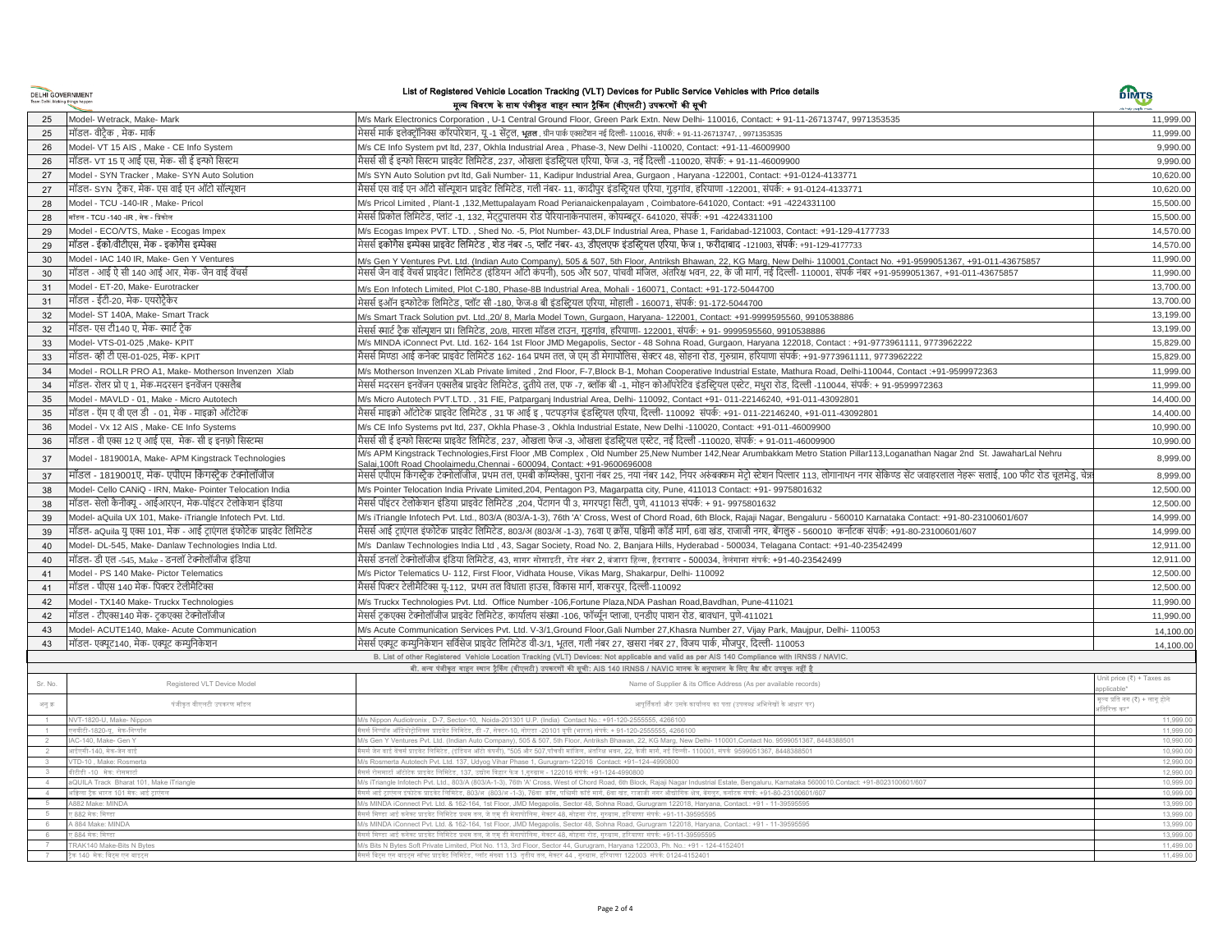| <b>DELHI GOVERNMENT</b>          |
|----------------------------------|
| Team Delhi. Making things happen |

#### List of Registered Vehicle Location Tracking (VLT) Devices for Public Service Vehicles with Price details मूल्र् डववरण के साथ पंजीकृत वाहन स्थान रैककंग (वीएलटी) उपकरणों की सूची

| <b>DELHI GOVERNMENT</b> |                                                                      | List of Registered Vehicle Location Tracking (VLT) Devices for Public Service Vehicles with Price details<br>मूल्य विवरण के साथ पंजीकृत वाहन स्थान ट्रैकिंग (वीएलटी) उपकरणों की सूची                                                                                                                     | <b>DIMTS</b>                                     |
|-------------------------|----------------------------------------------------------------------|----------------------------------------------------------------------------------------------------------------------------------------------------------------------------------------------------------------------------------------------------------------------------------------------------------|--------------------------------------------------|
|                         |                                                                      | M/s Mark Electronics Corporation, U-1 Central Ground Floor, Green Park Extn. New Delhi-110016, Contact: + 91-11-26713747, 9971353535                                                                                                                                                                     |                                                  |
| 25                      | Model- Wetrack, Make- Mark<br>मॉडल- वीटैक . मेक- मार्क               | मेसर्स मार्क इलेक्टॉनिक्स कॉरपोरेशन. य -1 सेंटल. भतल . ग्रीन पार्क एक्सटेंशन नई दिल्ली- 110016. संपर्क: + 91-11-26713747. . 9971353535                                                                                                                                                                   | 11,999.00<br>11.999.00                           |
| 25                      |                                                                      |                                                                                                                                                                                                                                                                                                          | 9,990.00                                         |
| 26                      | Model- VT 15 AIS, Make - CE Info System                              | M/s CE Info System pvt ltd, 237, Okhla Industrial Area, Phase-3, New Delhi -110020, Contact: +91-11-46009900                                                                                                                                                                                             |                                                  |
| 26                      | मॉडल- VT 15 ए आई एस. मेक- सी ई इन्फो सिस्टम                          | मैसर्स सी ई इन्फो सिस्टम प्राइवेट लिमिटेड, 237, ओखला इंडस्टियल एरिया, फेज -3, नई दिल्ली -110020, संपर्क: + 91-11-46009900                                                                                                                                                                                | 9.990.00                                         |
| 27                      | Model - SYN Tracker, Make- SYN Auto Solution                         | M/s SYN Auto Solution pvt Itd, Gali Number- 11, Kadipur Industrial Area, Gurgaon, Haryana -122001, Contact: +91-0124-4133771                                                                                                                                                                             | 10,620.00                                        |
| 27                      | मॉडल- SYN  टैकर, मेक- एस वाई एन ऑटो सॉल्यूशन                         | मैसर्स एस वाई एन ऑटो सॉल्यूशन प्राइवेट लिमिटेड, गली नंबर- 11, कादीपुर इंडस्टियल एरिया, गुड़गांव, हरियाणा -122001, संपर्क: + 91-0124-4133771                                                                                                                                                              | 10,620.00                                        |
| 28                      | Model - TCU -140-IR, Make- Pricol                                    | M/s Pricol Limited, Plant-1, 132, Mettupalayam Road Perianaickenpalayam, Coimbatore-641020, Contact: +91 -4224331100                                                                                                                                                                                     | 15,500.00                                        |
| 28                      | मॉडल - TCU -140 -IR , मेक - प्रिकोल                                  | मेसर्स प्रिकोल लिमिटेड, प्लांट -1, 132, मेटटुपालयम रोड पेरियानाकेनपालम, कोयम्बटूर- 641020, संपर्क: +91 -4224331100                                                                                                                                                                                       | 15,500.00                                        |
| 29                      | Model - ECO/VTS, Make - Ecogas Impex                                 | M/s Ecogas Impex PVT. LTD., Shed No. -5, Plot Number- 43, DLF Industrial Area, Phase 1, Faridabad-121003, Contact: +91-129-4177733                                                                                                                                                                       | 14,570.00                                        |
| 29                      | मॉडल - ईको/वीटीएस. मेक - इकोगैस इम्पेक्स                             | मेसर्स इकोगैस इम्पेक्स प्राइवेट लिमिटेड . शेड नंबर -5. प्लॉट नंबर- 43. डीएलएफ इंडस्टियल एरिया. फेज 1. फरीदाबाद -121003. संपर्क: +91-129-4177733                                                                                                                                                          | 14.570.00                                        |
| 30                      | Model - IAC 140 IR, Make- Gen Y Ventures                             | M/s Gen Y Ventures Pvt. Ltd. (Indian Auto Company), 505 & 507, 5th Floor, Antriksh Bhawan, 22, KG Marg, New Delhi- 110001, Contact No. +91-9599051367, +91-011-43675857                                                                                                                                  | 11,990.00                                        |
| 30                      | मॉडल - आई ऐ सी 140 आई आर, मेक- जैन वाई वेंचर्स                       | मेसर्स जैन वाई वेंचर्स प्राइवेट। लिमिटेड (इंडियन ऑटो कंपनी), 505 और 507, पांचवी मंजिल, अंतरिक्ष भवन, 22, के जी मार्ग, नई दिल्ली- 110001, संपर्क नंबर +91-9599051367, +91-011-43675857                                                                                                                    | 11,990.00                                        |
| 31                      | Model - ET-20, Make- Eurotracker                                     | M/s Eon Infotech Limited. Plot C-180. Phase-8B Industrial Area. Mohali - 160071. Contact: +91-172-5044700                                                                                                                                                                                                | 13,700.00                                        |
| 31                      | मॉडल - ईटी-20, मेक- एयरोटै्केर                                       | मेसर्स इऑन इन्फोटेक लिमिटेड, प्लॉट सी -180, फेज-8 बी इंडस्ट्रियल एरिया, मोहाली - 160071, संपर्क: 91-172-5044700                                                                                                                                                                                          | 13,700.00                                        |
| 32                      | Model- ST 140A, Make- Smart Track                                    | M/s Smart Track Solution pvt. Ltd.,20/8, Marla Model Town, Gurgaon, Haryana- 122001, Contact: +91-9999595560, 9910538886                                                                                                                                                                                 | 13,199.00                                        |
| 32                      | मॉडल- एस टी140 ए. मेक- स्मार्ट टैक                                   | मेसर्स स्मार्ट टैक सॉल्यशन प्रा। लिमिटेड. २०/८. मारला मॉडल टाउन. गडगांव. हरियाणा- 122001. संपर्क: + 91- 9999595560. 9910538886                                                                                                                                                                           | 13.199.00                                        |
| 33                      | Model- VTS-01-025 , Make- KPIT                                       | M/s MINDA iConnect Pvt. Ltd. 162-164 1st Floor JMD Megapolis, Sector - 48 Sohna Road, Gurgaon, Haryana 122018, Contact: +91-9773961111, 9773962222                                                                                                                                                       | 15,829.00                                        |
| 33                      | मॉडल- व्ही टी एस-01-025. मेक- KPIT                                   | मैसर्स मिण्डा आई कनेक्ट प्राइवेट लिमिटेड 162- 164 प्रथम तल, जे एम डी मेगापोलिस, सेक्टर 48, सोहना रोड, गुरुग्राम, हरियाणा संपर्क: +91-9773961111, 9773962222                                                                                                                                              | 15.829.00                                        |
| 34                      | Model - ROLLR PRO A1, Make- Motherson Invenzen Xlab                  | M/s Motherson Invenzen XLab Private limited, 2nd Floor, F-7, Block B-1, Mohan Cooperative Industrial Estate, Mathura Road, Delhi-110044, Contact :+91-9599972363                                                                                                                                         | 11,999.00                                        |
| 34                      | मॉडल- रोलर प्रो ए 1, मेक-मदरसन इनवेंजन एक्सलैब                       | मेसर्स मदरसन इनवेंजन एक्सलैब प्राइवेट लिमिटेड, दुतीये तल, एफ -7, ब्लॉक बी -1, मोहन कोऑपरेटिव इंडस्टियल एस्टेट, मथुरा रोड, दिल्ली -110044, संपर्क: + 91-9599972363                                                                                                                                        | 11,999.00                                        |
| 35                      | Model - MAVLD - 01, Make - Micro Autotech                            | M/s Micro Autotech PVT.LTD., 31 FIE, Patparganj Industrial Area, Delhi-110092, Contact +91-011-22146240, +91-011-43092801                                                                                                                                                                                | 14,400.00                                        |
| 35                      | मॉडल - ऍम ए वी एल डी  - 01, मेक - माइक्रो ऑटोटेक                     | मैसर्स माइक्रो ऑटोटेक प्राइवेट लिमिटेड , 31 फ आई इ , पटपड़गंज इंडस्टियल एरिया, दिल्ली- 110092  संपर्क: +91- 011-22146240, +91-011-43092801                                                                                                                                                               | 14,400.00                                        |
| 36                      | Model - Vx 12 AIS, Make- CE Info Systems                             | M/s CE Info Systems pvt ltd, 237, Okhla Phase-3, Okhla Industrial Estate, New Delhi -110020, Contact: +91-011-46009900                                                                                                                                                                                   | 10,990.00                                        |
| 36                      | मॉडल - वी एक्स 12 ए आई एस,  मेक- सी इ इनफ़ो सिस्टम्स                 | मैसर्स सी ई इन्फो सिस्टम्स प्राइवेट लिमिटेड, 237, ओखला फेज -3, ओखला इंडस्ट्रियल एस्टेट, नई दिल्ली -110020, संपर्क: + 91-011-46009900                                                                                                                                                                     | 10,990.00                                        |
|                         |                                                                      | M/s APM Kingstrack Technologies, First Floor ,MB Complex , Old Number 25, New Number 142, Near Arumbakkam Metro Station Pillar113, Loganathan Nagar 2nd St. JawaharLal Nehru                                                                                                                             |                                                  |
| 37                      | Model - 1819001A, Make- APM Kingstrack Technologies                  | Salai, 100ft Road Choolaimedu, Chennai - 600094, Contact: +91-9600696008                                                                                                                                                                                                                                 | 8,999.00                                         |
| 37                      | मॉडल - 1819001ए, मेक- एपीएम किंगस्टैक टेक्नोलॉजीज                    | मेसर्स एपीएम किंगस्टैक टेक्नोलॉजीज, प्रथम तल, एमबी कॉम्प्लेक्स, पुराना नंबर 25, नया नंबर 142, नियर अरुंबकम मेटो स्टेशन पिल्लार 113, लोगानाथन नगर सेकिण्ड सेंट जवाहरलाल नेहरू सलाई, 100 फीट रोड चुलमेड, चेन्न                                                                                             | 8,999.00                                         |
| 38                      | Model- Cello CANiQ - IRN, Make- Pointer Telocation India             | M/s Pointer Telocation India Private Limited, 204, Pentagon P3, Magarpatta city, Pune, 411013 Contact: +91- 9975801632                                                                                                                                                                                   | 12,500.00                                        |
| 38                      | मॉडल- सेलो कैनीक्यू - आईआरएन, मेक-पॉइंटर टेलोकेशन इंडिया             | मैसर्स पॉइंटर टेलोकेशन इंडिया प्राइवेट लिमिटेड ,204, पेंटागन पी 3, मगरपट्टा सिटी, पुणे, 411013 संपर्क: + 91- 9975801632                                                                                                                                                                                  | 12,500.00                                        |
| 39                      | Model- aQuila UX 101, Make- iTriangle Infotech Pvt. Ltd.             | M/s iTriangle Infotech Pvt. Ltd., 803/A (803/A-1-3), 76th 'A' Cross, West of Chord Road, 6th Block, Rajaji Nagar, Bengaluru - 560010 Karnataka Contact: +91-80-23100601/607                                                                                                                              | 14,999.00                                        |
| 39                      | मॉडल- aQuila यु एक्स 101, मेक - आई ट्राएंगल इंफोटेक प्राइवेट लिमिटेड | मैसर्स आई टाएंगल इंफोटेक प्राइवेट लिमिटेड, 803/अ (803/अ -1-3), 76वा ए क्रॉस, पश्चिमी कॉर्ड मार्ग, 6वा खंड, राजाजी नगर, बेंगलुरु - 560010  कर्नाटक संपर्क: +91-80-23100601/607                                                                                                                            | 14,999.00                                        |
| 40                      | Model- DL-545, Make- Danlaw Technologies India Ltd.                  | M/s Danlaw Technologies India Ltd , 43, Sagar Society, Road No. 2, Banjara Hills, Hyderabad - 500034, Telagana Contact: +91-40-23542499                                                                                                                                                                  | 12,911.00                                        |
| 40                      | मॉडल- डी एल -545, Make - डनलॉ टेक्नोलॉजीज इंडिया                     | मैसर्स डनलॉ टेक्नोलॉजीज इंडिया लिमिटेड. 43. सागर सोसाइटी. रोड नंबर 2. बंजारा हिल्स. हैदराबाद - 500034. तेलंगाना संपर्क: +91-40-23542499                                                                                                                                                                  | 12,911.00                                        |
| 41                      | Model - PS 140 Make- Pictor Telematics                               | M/s Pictor Telematics U- 112, First Floor, Vidhata House, Vikas Marg, Shakarpur, Delhi- 110092                                                                                                                                                                                                           | 12,500.00                                        |
| 41                      | मॉडल - पीएस 140 मेक- पिक्टर टेलीमैटिक्स                              | मैसर्स पिक्टर टेलीमैटिक्स यु-112,  प्रथम तल विधाता हाउस, विकास मार्ग, शकरपूर, दिल्ली-110092                                                                                                                                                                                                              | 12,500.00                                        |
| 42                      | Model - TX140 Make- Truckx Technologies                              | M/s Truckx Technologies Pvt. Ltd. Office Number -106, Fortune Plaza, NDA Pashan Road, Bavdhan, Pune-411021                                                                                                                                                                                               | 11,990.00                                        |
| 42                      | मॉडल - टीएक्स140 मेक- टकएक्स टेक्नोलॉजीज                             | मेसर्स टकएक्स टेक्नोलॉजीज प्राइवेट लिमिटेड, कार्यालय संख्या -106. फॉर्च्यून प्लाजा, एनडीए पाशन रोड, बावधान, पुणे-411021                                                                                                                                                                                  | 11,990.00                                        |
| 43                      | Model- ACUTE140, Make- Acute Communication                           | M/s Acute Communication Services Pvt. Ltd. V-3/1, Ground Floor, Gali Number 27, Khasra Number 27, Vijay Park, Maujpur, Delhi- 110053                                                                                                                                                                     | 14,100.00                                        |
| 43                      | मॉडल- एक्यूट140, मेक- एक्यूट कम्युनिकेशन                             | मेसर्स एक्यूट कम्युनिकेशन सर्विसेज प्राइवेट लिमिटेड वी-३/1, भूतल, गली नंबर 27, खसरा नंबर 27, विजय पार्क, मौजपूर, दिल्ली- 110053                                                                                                                                                                          | 14.100.00                                        |
|                         |                                                                      | B. List of other Registered Vehicle Location Tracking (VLT) Devices: Not applicable and valid as per AIS 140 Compliance with IRNSS / NAVIC.                                                                                                                                                              |                                                  |
|                         |                                                                      | बी. अन्य पंजीकृत वाहन स्थान ट्रैकिंग (वीएलटी) उपकरणों की सूची: AIS 140 IRNSS / NAVIC मानक के अनुपालन के लिए वैद्य और उपयुक्त नहीं है                                                                                                                                                                     |                                                  |
| Sr. No.                 | Registered VLT Device Model                                          | Name of Supplier & its Office Address (As per available records)                                                                                                                                                                                                                                         | Unit price (₹) + Taxes as<br>policable           |
| अनुक्र                  | पंजीकृत वीएलटी उपकरण मॉडल                                            | आपूर्तिकर्ता और उसके कार्यालय का पता (उपलब्ध अभिलेखों के आधार पर)                                                                                                                                                                                                                                        | .<br>ल्य प्रति नग (१) + लागू होने<br>तिरिक्त कर' |
| $\mathbf{1}$<br>$\sim$  | NVT-1820-U, Make- Nippon<br>एनवीटी-1820-यू, मेक-निप्पॉन              | //s Nippon Audiotronix, D-7, Sector-10, Noida-201301 U.P. (India) Contact No.: +91-120-2555555, 4266100<br>.<br>सर्स निप्पॉन ऑडियोट्रोनिक्स प्राइवेट लिमिटेड, डी -7, सेक्टर-10, नोएडा -20101 यूपी (भारत) संपर्क: + 91-120-2555555, 4266100                                                               | 11.999.0<br>11,999.00                            |
| 2                       | IAC-140, Make- Gen Y                                                 | M/s Gen Y Ventures Pvt. Ltd. (Indian Auto Company), 505 & 507, 5th Floor, Antriksh Bhawan, 22, KG Marg, New Delhi- 110001,Contact No. 9599051367, 8448388501                                                                                                                                             | 10,990.00                                        |
| 2                       | आईएसी-140. मेक-जेन वाई                                               | सर्स जेन वाई वेंचर्स प्राइवेट लिमिटेड. (इंडियन ऑटो कंपनी). "505 और 507 पाँचवी मांजिल. अंतरिक्ष भवन. 22. केजी मार्ग. नई दिल्ली- 110001. संपर्क 9599051367. 8448388501                                                                                                                                     | 10.990.00                                        |
| $\mathbf{3}$            | VTD-10, Make: Rosmerta                                               | Ms Rosmerta Autotech Pvt. Ltd. 137, Udyog Vihar Phase 1, Gurugram-122016 Contact: +91-124-4990800                                                                                                                                                                                                        | 12.990.00                                        |
| 3<br>$\overline{4}$     | वीटीडी -10 मेक: रोसमार्टा<br>aQUILA Track Bharat 101, Make iTriangle | सर्स रोसमार्टा ऑटोटेक प्राइवेट लिमिटेड. 137. उद्योग विहार फेज 1.गरुग्राम - 122016 संपर्क: +91-124-4990800<br>Ms iTriangle Infotech Pvt. Ltd., 803/A (803/A-1-3), 76th 'A' Cross, West of Chord Road, 6th Block, Rajaji Nagar Industrial Estate, Bengaluru, Karnataka 5600010.Contact: +91-8023100601/607 | 12.990.00<br>10,999.00                           |
| $\overline{4}$          | अक्किला टैक भारत 101 मेक: आई ट्राएंगल                                | सर्स आई टाएंगल इंफोटेक प्राइवेट लिमिटेड, 803/अ. (803/अ. 1-3). 76वा. कॉस. पश्चिमी कॉर्ड सर्ग खेड, राजाजी नगर औद्योगिक क्षेत्र, बेंगलरु, कर्नाटक संपर्क: +91-80-23100601/607                                                                                                                               | 10,999.00                                        |
| 5                       | A882 Make: MINDA                                                     | 1/s MINDA iConnect Pvt. Ltd. & 162-164, 1st Floor, JMD Megapolis, Sector 48, Sohna Road, Gurugram 122018, Haryana, Contact.: +91 - 11-39595595                                                                                                                                                           | 13,999.00                                        |
| 5                       | ए 882 मेक: मिण्डा                                                    | सर्स मिण्डा आई कनेक्ट प्राइवेट लिमिटेड प्रथम तल, जे एम् डी मेगापोलिस, सेक्टर 48, सोहना रोड, गुरुग्राम, हरियाणा संपर्क: +91-11-39595595                                                                                                                                                                   | 13,999.00                                        |
| 6                       | A 884 Make: MINDA<br>ए 884 मेक: मिण्डा                               | I/s MINDA iConnect Pvt. Ltd. & 162-164, 1st Floor, JMD Megapolis, Sector 48, Sohna Road, Gurugram 122018, Haryana, Contact.: +91 - 11-39595595<br>सर्स मिण्डा आई कनेक्ट प्राइवेट लिमिटेड प्रथम तल, जे एम् डी मेगापोलिस, सेक्टर 48, सोहना रोड, गुरुग्राम, हरियाणा संपर्क: +91-11-39595595                 | 13,999.00<br>13,999.0                            |
|                         | TRAK140 Make-Bits N Bytes                                            | Ms Bits N Bytes Soft Private Limited, Plot No. 113, 3rd Floor, Sector 44, Gurugram, Haryana 122003, Ph. No.: +91 - 124-4152401                                                                                                                                                                           | 11.499.0                                         |
|                         | टैक 140  मेक: बिटस एन बाइटर                                          | सर्स बिटस एन बाइटस सॉफ्ट प्राइवेट लिमिटेड. प्लॉट संख्या 113  ततीय तल. सेक्टर 44 . गरुग्राम. हरियाणा 122003  संपर्क: 0124-415240′                                                                                                                                                                         | 11.499.0                                         |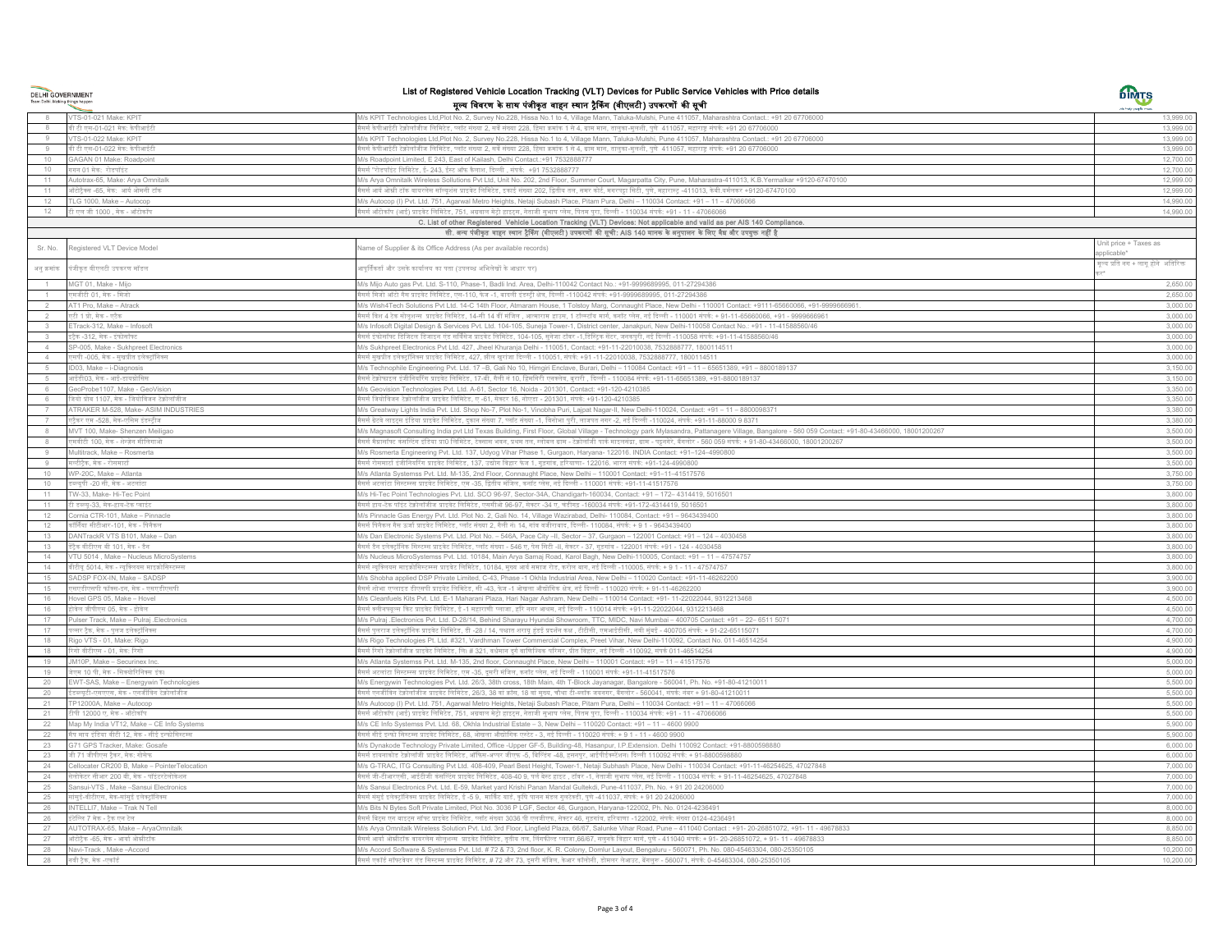**DELHI GOVERNMENT**<br>Team Delhi. Making things happen

# List of Registered Vehicle Location Tracking (VLT) Devices for Public Service Vehicles with Price details मूल्य विवरण के साथ पंजीकृत वाहन स्थान ट्रैकिंग (वीएलटी) उपकरणों की सूची

DIMTS

|                | VTS-01-021 Make: KPIT                                | M/s KPIT Technologies Ltd,Plot No. 2, Survey No.228, Hissa No.1 to 4, Village Mann, Taluka-Mulshi, Pune 411057, Maharashtra Contact.: +91 20 67706000                                          | 13,999.00                            |
|----------------|------------------------------------------------------|------------------------------------------------------------------------------------------------------------------------------------------------------------------------------------------------|--------------------------------------|
|                | वी टी एस-01-021 मेक: केपीआईटी                        | सर्स केपीआईटी टेक्नोलॉजीज लिमिटेड, प्लॉट संख्या 2, सर्वे संख्या 228, हिसा क्रमांक 1 से 4, ग्राम मान, तालुका-मुलशी, पुणे  411057, महाराष्ट्र संपर्क: +91 20 67706000                            | 13,999.00                            |
|                | VTS-01-022 Make: KPIT                                | M/s KPIT Technologies Ltd,Plot No. 2, Survey No.228, Hissa No.1 to 4, Village Mann, Taluka-Mulshi, Pune 411057, Maharashtra Contact.: +91 20 67706000                                          | 13,999.00                            |
|                | वी टी एस-01-022 मेक: केपीआईटी                        | सर्स केपीआईटी टेक्नोलॉजीज लिमिटेड, प्लॉट संख्या 2, सर्वे संख्या 228, हिसा क्रमांक 1 से 4, ग्राम मान, तालुका-मुलशी, पुणे  411057, महाराष्ट्र संपर्क: +91 20 67706000                            | 13,999.00                            |
| 10             | GAGAN 01 Make: Roadpoint                             | /s Roadpoint Limited, E 243, East of Kailash, Delhi Contact.:+91 7532888777                                                                                                                    | 12,700.00                            |
| 10             | ागन 01 मेक: रोडपॉइंट                                 | सर्स "रोडपॉइंट लिमिटेड, ई- 243, ईस्ट ऑफ कैलाश, दिल्ली , संपर्क: +91 7532888777                                                                                                                 | 12,700.00                            |
| 11             | Autotrax-65, Make: Arya Omnitalk                     | 1/s Arya Omnitalk Wireless Sollutions Pvt Ltd, Unit No. 202, 2nd Floor, Summer Court, Magarpatta City, Pune, Maharastra-411013, K.B.Yermalkar +9120-67470100                                   | 12,999.00                            |
| 11             | गॅंटोट्रैक्स -65, मेक: आर्य ओमनी टॉक                 | सर्स आर्य ओम्नी टॉक वायरलेस सॉल्यूशंस प्राइवेट लिमिटेड, इकाई संख्या 202, द्वितीय तल, समर कोर्ट, मगरपट्रा सिटी, पुणे, महारास्ट्र -411013, केबी.यर्मलकर +9120-67470100                           | 12,999.00                            |
| 12             |                                                      |                                                                                                                                                                                                |                                      |
|                | FLG 1000, Make - Autocop                             | Ms Autocop (I) Pvt. Ltd. 751, Agarwal Metro Heights, Netaji Subash Place, Pitam Pura, Delhi - 110034 Contact: +91 - 11 - 47066066                                                              | 14,990.00                            |
| 12             | .<br>टी एल जी 1000 , मेक - ऑटोकॉप                    | सर्स ऑटोकॉप (आई) प्राइवेट लिमिटेड, 751, अग्रवाल मेट्रो हाइटस, नेताजी सुभाष प्लेस, पितम पुरा, दिल्ली - 110034 संपर्क: +91 - 11 - 47066066                                                       | 14,990.00                            |
|                |                                                      | C. List of other Registered Vehicle Location Tracking (VLT) Devices: Not applicable and valid as per AIS 140 Compliance.                                                                       |                                      |
|                |                                                      | सी. अन्य पंजीकृत वाहन स्वान ट्रैकिंग (वीएलटी) उपकरणों की सूची: AIS 140 मानक के अनुपालन के लिए वैद्य और उपयुक्त नहीं है                                                                         |                                      |
| Sr. No.        | Registered VLT Device Model                          | lame of Supplier & its Office Address (As per available records)                                                                                                                               | Unit price + Taxes as                |
| अनुक्रमांक     | पंजीकृत वीएलटी उपकरण मॉडल                            | ापूर्तिकर्ता और उसके कार्यालय का पता (उपलब्ध अभिलेखों के आधार पर)                                                                                                                              | ग़्ल्य प्रति नग + लागू होने अतिरिक्त |
|                | IGT 01. Make - Miic                                  | /s Mijo Auto gas Pvt. Ltd. S-110, Phase-1, Badli Ind. Area, Delhi-110042 Contact No.: +91-9999689995, 011-27294386                                                                             | 2,650.00                             |
|                | <sub>रमजीटी</sub> 01, मेक - मिजो                     | सर्स मिजो ऑटो गैस प्राइवेट लिमिटेड, एस-110, फेज -1, बादली इंडस्ट्री क्षेत्र, दिल्ली -110042 संपर्क: +91-9999689995, 011-27294386                                                               | 2,650.00                             |
| 2              | AT1 Pro, Make - Atrack                               | //s Wish4Tech Solutions Pvt Ltd. 14-C 14th Floor, Atmaram House, 1 Tolstoy Marg, Connaught Place, New Delhi - 110001 Contact: +9111-65660066, +91-9999666961.                                  | 3,000.00                             |
|                |                                                      |                                                                                                                                                                                                |                                      |
|                | र्टी 1 प्रो, मेक - एटैक                              | सर्स विश 4 टेक सोलूशन्स  प्राइवेट लिमिटेड, 14-सी 14 वीं मंजिल , आत्माराम हाउस, 1 टॉल्स्टॉय मार्ग, कनॉट प्लेस, नई दिल्ली - 110001 संपर्क: + 91-11-65660066, +91 - 9999666961                    | 3,000.00                             |
| $\mathbf{3}$   | ETrack-312, Make - Infosoft                          | 1/s Infosoft Digital Design & Services Pvt. Ltd. 104-105, Suneja Tower-1, District center, Janakpuri, New Delhi-110058 Contact No.: +91 - 11-41588560/46                                       | 3,000.00                             |
|                | टैक -312. मेक - इंफोसॉफ्ट                            | सर्स इंफोसॉफ्ट डिजिटल डिजाइन एंड सर्विसेज प्राइवेट लिमिटेड, 104-105, सुनेजा टॉवर -1,डिस्टिक सेंटर, जनकपुरी, नई दिल्ली -110058 संपर्क: +91-11-41588560/46                                       | 3,000.00                             |
| $\Delta$       | SP-005, Make - Sukhpreet Electronics                 | 1/s Sukhpreet Electronics Pvt Ltd. 427, Jheel Khuranja Delhi - 110051, Contact: +91-11-22010038, 7532888777, 1800114511                                                                        | 3,000.00                             |
| $\overline{4}$ | एसपी -005, मेक - सुखप्रीत इलेक्ट्रॉनिक्स             | .<br>सर्स सुखप्रीत इलेक्ट्रॉनिक्स प्राइवेट लिमिटेड, 427, झील खूरांजा दिल्ली - 110051, संपर्क: +91 -11-22010038, 7532888777, 1800114511                                                         | 3,000.00                             |
|                | ID03, Make - i-Diagnosis                             | Ms Technophile Engineering Pvt. Ltd. 17 -B, Gali No 10, Himgiri Enclave, Burari, Delhi - 110084 Contact: +91 - 11 - 65651389, +91 - 8800189137                                                 | 3,150.00                             |
|                | गईडी03, मेक - आई-डायग्रोसिस                          | सर्स टेक्नोफाइल इंजीनियरिंग प्राइवेट लिमिटेड, 17-बी, गैली नं 10, हिमगिरी एनक्लेब, वूरारी , दिल्ली - 110084 संपर्क: +91-11-65651389, +91-8800189137                                             | 3,150.00                             |
|                | eoProbe1107, Make - GeoVision                        | I/s Geovision Technologies Pvt. Ltd. A-61, Sector 16, Noida - 201301, Contact: +91-120-4210385                                                                                                 | 3,350.00                             |
|                | जेयो प्रोब 1107. मेक - जियोविजन टेक्नोलॉजीज          | सर्स जियोविजन टेक्नोलॉजीज प्राइवेट लिमिटेड, ए -61, सेक्टर 16, नोएडा - 201301, संपर्क: +91-120-4210385                                                                                          | 3,350.00                             |
| $\overline{7}$ | ATRAKER M-528, Make- ASIM INDUSTRIES                 | M/s Greatway Lights India Pvt. Ltd. Shop No-7, Plot No-1, Vinobha Puri, Lajpat Nagar-II, New Delhi-110024, Contact: +91 - 11 - 8800098371                                                      | 3,380.00                             |
|                | र्ट्रैकर एम -528, मेक-एसिम इंडस्ट्रीज                | सर्स ग्रेटवे लाइट्स इंडिया प्राइवेट लिमिटेड, दुकान संख्या 7, प्लॉट संख्या -1, विनोभा पुरी, लाजपत नगर -2, नई दिल्ली -110024, संपर्क: +91-11-88000 9 8371                                        | 3,380.00                             |
|                | MVT 100, Make- Shenzen Meiligad                      | Ms Magnasoft Consulting India pvt Ltd Texas Building, First Floor, Global Village - Technology park Mylasandra, Pattanagere Village, Bangalore - 560 059 Contact: +91-80-43466000, 18001200267 | 3,500.00                             |
|                |                                                      |                                                                                                                                                                                                |                                      |
|                | एमवीटी 100. मेक - शेन्ज़ेन मीलिगाओ                   | सर्स मैग्नासॉफ्ट कंसल्टिंग इंडिया प्रा0 लिमिटेड, टेक्सास भवन, प्रथम तल, ग्लोबल ग्राम - टेक्नोलॉजी पार्क माइलसंद्रा, ग्राम - पट्टनगेरे, बैंगलोर - 560 059 संपर्क: + 91-80-43466000, 18001200267 | 3.500.00                             |
|                | Multitrack, Make - Rosmerta                          | Ms Rosmerta Engineering Pvt. Ltd. 137, Udyog Vihar Phase 1, Gurgaon, Haryana- 122016. INDIA Contact: +91-124-4990800                                                                           | 3,500.00                             |
|                | नल्टीट्रैक, मेक - रोसमार्टा                          | सर्स रोसमार्टा इंजीनियरिंग प्राइवेट लिमिटेड, 137, उद्योग विहार फेज 1, गुड़गांव, हरियाणा- 122016. भारत संपर्क: +91-124-4990800                                                                  | 3,500.00                             |
| $10 -$         | NP-20C, Make - Atlanta                               | 1/s Atlanta Systemss Pvt. Ltd. M-135, 2nd Floor, Connaught Place, New Delhi - 110001 Contact: +91-11-41517576                                                                                  | 3,750.00                             |
| 10             | पुपी -20 सी, मेक - अटलांटा                           | .<br>सर्स अटलांटा सिस्टम्स्स प्राइवेट लिमिटेड, एम -35, द्वितीय मंजिल, कनॉट प्लेस, नई दिल्ली - 110001 संपर्क: +91-11-41517576                                                                   | 3,750.00                             |
| 11             | W-33, Make- Hi-Tec Point                             | //s Hi-Tec Point Technologies Pvt. Ltd. SCO 96-97, Sector-34A, Chandigarh-160034, Contact: +91 - 172- 4314419, 5016501                                                                         | 3,800.00                             |
| 11             | ति डब्ल्यू-33, मेक-हाय-टेक प्वाइंट                   | .<br>सर्स हाय-टेक पॉइंट टेक्नोलॉजीज प्राइवेट लिमिटेड, एससीओ 96-97, सेक्टर -34 ए, चंडीगढ़ -160034 संपर्क: +91-172-4314419, 5016501                                                              | 3,800.00                             |
| 12             | Cornia CTR-101, Make - Pinnacle                      | 1/s Pinnacle Gas Energy Pvt. Ltd. Plot No. 2, Gali No. 14, Village Wazirabad, Delhi- 110084, Contact: +91 - 9643439400                                                                         | 3,800.00                             |
| 12             | ॉर्निया सीटीआर-101, मेक - पिनैकल                     | सर्स पिनैकल गैस ऊर्जा प्राइवेट लिमिटेड, प्लॉट संख्या 2, गैली नं। 14, गांव वजीराबाद, दिल्ली- 110084, संपर्क: + 9 1 - 9643439400                                                                 | 3,800.00                             |
| 13             | DANTrackR VTS B101, Make - Dan                       | Ms Dan Electronic Systems Pvt. Ltd. Plot No. - 546A, Pace City -II, Sector - 37, Gurgaon - 122001 Contact: +91 - 124 - 4030458                                                                 | 3,800.00                             |
| 13             | हिक वीटीएस बी 101, मेक - डैन                         | सर्स डैन इलेक्ट्रॉनिक सिस्टम्स प्राइवेट लिमिटेड, प्लॉट संख्या - 546 ए, पेस सिटी -II, सेक्टर - 37, गुड़गांव - 122001 संपर्क: +91 - 124 - 4030458                                                | 3,800.00                             |
| 14             | /TU 5014, Make - Nucleus MicroSystems                | Vs Nucleus MicroSystemss Pvt. Ltd. 10184, Main Arya Samaj Road, Karol Bagh, New Delhi-110005, Contact: +91 - 11 - 47574757                                                                     | 3,800.00                             |
| 14             | .<br>बीटीयू 5014, मेक - न्यूक्लियस माइक्रोसिस्टम्स्स | .<br>सर्स न्यूक्लियस माइक्रोसिस्टम्स्स प्राइवेट लिमिटेड, 10184, मुख्य आर्य समाज रोड, करोल बाग, नई दिल्ली -110005, संपर्क: + 9 1 - 11 - 47574757                                                | 3,800.00                             |
| 15             | SADSP FOX-IN, Make - SADSP                           | Ms Shobha applied DSP Private Limited, C-43, Phase -1 Okhla Industrial Area, New Delhi - 110020 Contact: +91-11-46262200                                                                       | 3,900.00                             |
|                |                                                      |                                                                                                                                                                                                |                                      |
| 15             | सएडीएसपी फॉक्स-इन, मेक - एसएडीएसपी                   | सर्स शोभा एप्लाइड डीएसपी प्राइवेट लिमिटेड, सी -43, फेज -1 ओखला औद्योगिक क्षेत्र, नई दिल्ली - 110020 संपर्क: + 91-11-46262200                                                                   | 3,900.00                             |
| 16             | ovel GPS 05, Make - Hovel                            | //s Cleanfuels Kits Pvt. Ltd. E-1 Maharani Plaza, Hari Nagar Ashram, New Delhi - 110014 Contact: +91- 11-22022044, 9312213468                                                                  | 4,500.00                             |
| 16             | विल जीपीएस 05. मेक - होवेल                           | सर्स क्लीनफ्यूल्स किट प्राइवेट लिमिटेड, ई -1 महाराणी प्लाजा, हरि नगर आश्रम, नई दिल्ली - 110014 संपर्क: +91-11-22022044, 9312213468                                                             | 4,500.00                             |
| 17             | Pulser Track, Make - Pulraj .Electronics             | W/s Pulraj .Electronics Pvt. Ltd. D-28/14, Behind Sharayu Hyundai Showroom, TTC, MIDC, Navi Mumbai - 400705 Contact: +91 - 22- 6511 5071                                                       | 4,700.00                             |
| 17             | ल्सर ट्रैक, मेक - पुलज इलेक्ट्रॉनिक्स                | सर्स पुलराज इलेक्ट्रॉनिक प्राइवेट लिमिटेड, डी -28 / 14, पश्चात शरायू हुंडई प्रदर्शन कक्ष , टीटीसी, एमआईडीसी, नवी मुंबई - 400705 संपर्क: + 91-22-65115071                                       | 4,700.00                             |
| 18             | Rigo VTS - 01, Make: Rigo                            | M/s Rigo Technologies Pt. Ltd. #321, Vardhman Tower Commercial Complex, Preet Vihar, New Delhi-110092, Contact No. 011-46514254                                                                | 4,900.00                             |
| 18             | रेगो वीटीएस - 01. मेक: रिगो                          | ासर्स रिगो टेक्नोलॉजीज प्राइवेट लिमिटेड, लि। # 321, वर्धमान दुर्ग वाणिज्यिक परिसर, प्रीत विहार, नई दिल्ली -110092, संपर्क 011-46514254                                                         | 4,900.00                             |
| 19             | JM10P, Make - Securinex Inc.                         | Ms Atlanta Systemss Pvt. Ltd. M-135, 2nd floor, Connaught Place, New Delhi - 110001 Contact: +91 - 11 - 41517576                                                                               | 5,000.00                             |
| 19             | नेएम 10 पी, मेक - सिक्योरिनिक्स इंक।                 | सर्स अटलांटा सिस्टम्स्स प्राइवेट लिमिटेड, एम -35, दुसरी मंजिल, कनॉट प्लेस, नई दिल्ली - 110001 संपर्क: +91-11-41517576                                                                          | 5,000.00                             |
| 20             | EWT-SAS, Make - Energywin Technologies               | M/s Energywin Technologies Pvt. Ltd. 26/3, 38th cross, 18th Main, 4th T-Block Jayanagar, Bangalore - 560041, Ph. No. +91-80-41210011                                                           | 5.500.00                             |
| 20             | डब्ल्यटी-एसएएस, मेक - एनर्जीविन टेक्नोलॉजीज          | .<br>सर्स एनर्जीविन टेक्नोलॉजीज प्राइवेट लिमिटेड, 26/3, 38 वां क्रॉस, 18 वां मुख्य, चौथा टी-ब्लॉक जयनगर, बैंगलोर - 560041, संपर्क: नंबर + 91-80-41210011                                       | 5.500.00                             |
|                | P12000A, Make - Autocop                              | 1/s Autocop (I) Pvt. Ltd. 751, Agarwal Metro Heights, Netaji Subash Place, Pitam Pura, Delhi - 110034 Contact: +91 - 11 - 47066066                                                             | 5,500.00                             |
| 21             | पी 12000 ए. मेक - ऑटोकॉप                             | सर्स ऑटोकॉप (आई) प्राइवेट लिमिटेड, 751, अग्रवाल मेट्रो हाइट्स, नेताजी सुभाष प्लेस, पितम पुरा, दिल्ली - 110034 संपर्क: +91 - 11 - 47066066                                                      | 5,500.00                             |
|                |                                                      |                                                                                                                                                                                                |                                      |
| 22             | ap My India VT12, Make - CE Info Systems             | /s CE Info Systemss Pvt. Ltd. 68, Okhla Industrial Estate - 3, New Delhi - 110020 Contact: +91 - 11 - 4600 9900                                                                                | 5,900.00                             |
| 22             | मैप माय इंडिया वीटी 12, मेक - सीई इन्फोसिस्टम्स      | सर्स सीई इन्फो सिस्टम्स प्राइवेट लिमिटेड, 68, ओखला औद्योगिक एस्टेट - 3, नई दिल्ली - 110020 संपर्क: + 9 1 - 11 - 4600 9900                                                                      | 5,900.00                             |
| 23             | 371 GPS Tracker, Make: Gosafe                        | 1/s Dynakode Technology Private Limited, Office -Upper GF-5, Building-48, Hasanpur, I.P.Extension. Delhi 110092 Contact: +91-8800598880                                                        | 6,000.00                             |
| 23             | नी 71 जीपीएस ट्रैकर, मेक: गोसेफ                      | सर्स डायनाकोड टेक्नोलॉजी प्राइवेट लिमिटेड, ऑफिस-अप्पर जीएफ -5, विल्डिंग -48, हसनपुर, आईपीईक्स्टेंशन। दिल्ली 110092 संपर्क: + 91-8800598880                                                     | 6,000.00                             |
| 24             | Cellocater CR200 B, Make - PointerTelocation         | Ms G-TRAC, ITG Consulting Pvt Ltd. 408-409, Pearl Best Height, Tower-1, Netaji Subhash Place, New Delhi - 110034 Contact: +91-11-46254625, 47027848                                            | 7,000.00                             |
| 24             | लोकेटर सीआर 200 बी. मेक - पॉइंटरटेलोकेशन             | सर्स जी-टीआरएसी, आईटीजी कंसल्टिंग प्राइवेट लिमिटेड, 408-40 9, पर्ल बेस्ट हाइट , टॉवर -1, नेताजी सभाष प्लेस, नई दिल्ली - 110034 संपर्क: + 91-11-46254625, 47027848                              | 7,000.00                             |
| 25             | ansui-VTS, Make -Sansui Electronics                  | Ms Sansui Electronics Pvt. Ltd. E-59, Market yard Krishi Panan Mandal Gultekdi, Pune-411037, Ph. No. + 91 20 24206000                                                                          | 7,000.00                             |
| 25             | सांसुई-वीटीएस, मेक-सांसुई इलेक्ट्रॉनिक्स             | .<br>मैसर्स संसूई इलेक्ट्रॉनिक्स प्राइवेट लिमिटेड, ई -5 9,  मार्किट यार्ड, कृषि पानन मंडल गुलटेक्डी, पुणे -411037, संपर्क: + 91 20 24206000                                                    | 7.000.00                             |
| 26             | INTELLI7, Make - Trak N Tell                         | I/s Bits N Bytes Soft Private Limited, Plot No. 3036 P LGF, Sector 46, Gurgaon, Haryana-122002, Ph. No. 0124-4236491                                                                           | 8,000.00                             |
| 26             | टेल्लि 7 मेक - ट्रैक एन टेल                          | ।<br>सर्स बिट्स एन बाइट्स सॉफ्ट प्राइवेट लिमिटेड, प्लॉट संख्या 3036 पी एलजीएफ, सेक्टर 46, गुड़गांव, हरियाणा -122002, संपर्क: संख्या 0124-4236491                                               | 8,000.00                             |
| 27             | UTOTRAX-65, Make - AryaOmnitalk                      | 1/s Arya Omnitalk Wireless Solution Pvt. Ltd. 3rd Floor, Lingfield Plaza, 66/67, Salunke Vihar Road, Pune - 411040 Contact : +91- 20-26851072, +91- 11 - 49678833                              | 8,850.00                             |
| 27             | .<br>टोटैक -65, मेक - आर्या ओम्रीटॉक                 | .<br>सर्स आर्या ओझीटॉक वायरलेस सोलूशन्स  प्राइवेट लिमिटेड, तृतीय तल, लिंगफील्ड प्लाजा,66/67, सलुनके विहार मार्ग, पुणे - 411040 संपर्क: + 91- 20-26851072, + 91- 11 - 49678833                  | 8,850.00                             |
|                |                                                      |                                                                                                                                                                                                | 10,200.00                            |
| 28             | Navi-Track, Make-Accord                              | Ms Accord Software & Systemss Pvt. Ltd. # 72 & 73, 2nd floor, K. R. Colony, Domlur Layout, Bengaluru - 560071, Ph. No. 080-45463304, 080-25350105                                              |                                      |
| 28             | नवी टैक, मेक -एकॉर्ड                                 | सर्स एकॉर्ड सॉफ्टवेयर एंड सिस्टम्स प्राइवेट लिमिटेड. # 72 और 73. दसरी मंजिल. केआर कॉलोनी. डोमलर लेआउट. बेंगलरू - 560071. संपर्क: 0-45463304. 080-25350105                                      | 10.200.00                            |